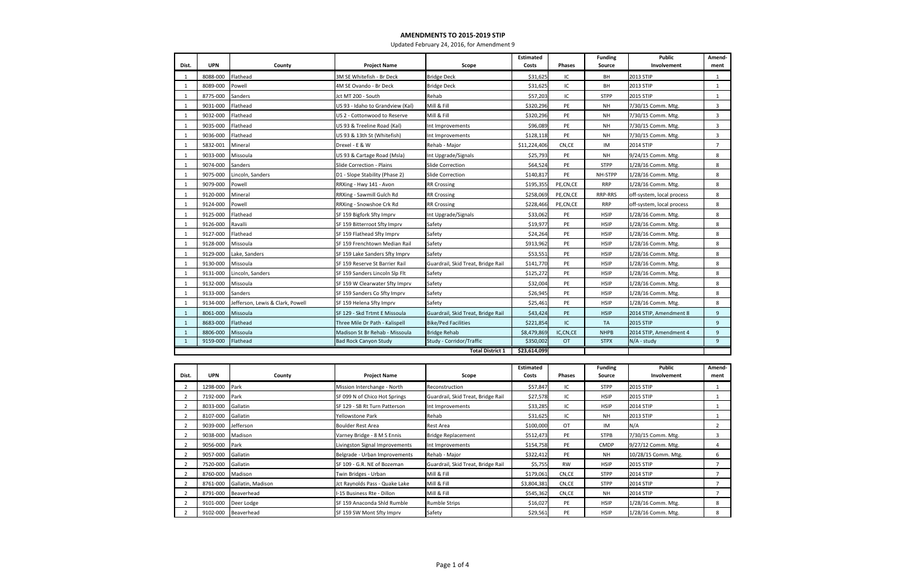| Dist.          | <b>UPN</b> | County                           | <b>Project Name</b>              | Scope                              | <b>Estimated</b><br>Costs | <b>Phases</b> | <b>Funding</b><br><b>Source</b> | <b>Public</b><br>Involvement | Amend-<br>ment  |
|----------------|------------|----------------------------------|----------------------------------|------------------------------------|---------------------------|---------------|---------------------------------|------------------------------|-----------------|
| 1              | 8088-000   | Flathead                         | 3M SE Whitefish - Br Deck        | <b>Bridge Deck</b>                 | \$31,625                  | IC            | BH                              | 2013 STIP                    | 1               |
| $\mathbf{1}$   | 8089-000   | Powell                           | 4M SE Ovando - Br Deck           | <b>Bridge Deck</b>                 | \$31,625                  | IC            | BH                              | 2013 STIP                    | $\mathbf{1}$    |
| 1              | 8775-000   | Sanders                          | Jct MT 200 - South               | Rehab                              | \$57,203                  | IC            | <b>STPP</b>                     | 2015 STIP                    | $\mathbf{1}$    |
| $\mathbf{1}$   | 9031-000   | Flathead                         | US 93 - Idaho to Grandview (Kal) | Mill & Fill                        | \$320,296                 | PE            | <b>NH</b>                       | 7/30/15 Comm. Mtg.           | $\overline{3}$  |
| 1              | 9032-000   | Flathead                         | US 2 - Cottonwood to Reserve     | Mill & Fill                        | \$320,296                 | PE            | <b>NH</b>                       | 7/30/15 Comm. Mtg.           | $\overline{3}$  |
| 1              | 9035-000   | Flathead                         | US 93 & Treeline Road (Kal)      | Int Improvements                   | \$96,089                  | PE            | <b>NH</b>                       | 7/30/15 Comm. Mtg.           | $\overline{3}$  |
| 1              | 9036-000   | Flathead                         | US 93 & 13th St (Whitefish)      | Int Improvements                   | \$128,118                 | PE            | NH                              | 7/30/15 Comm. Mtg.           | $\overline{3}$  |
| 1              | 5832-001   | Mineral                          | Drexel - E & W                   | Rehab - Major                      | \$11,224,406              | CN,CE         | IM                              | 2014 STIP                    | $\overline{7}$  |
| 1              | 9033-000   | Missoula                         | US 93 & Cartage Road (Msla)      | Int Upgrade/Signals                | \$25,793                  | PE            | NH                              | 9/24/15 Comm. Mtg.           | 8               |
| 1              | 9074-000   | Sanders                          | Slide Correction - Plains        | Slide Correction                   | \$64,524                  | PE            | <b>STPP</b>                     | 1/28/16 Comm. Mtg.           | 8               |
| $\mathbf{1}$   | 9075-000   | Lincoln, Sanders                 | D1 - Slope Stability (Phase 2)   | Slide Correction                   | \$140,817                 | PE            | NH-STPP                         | 1/28/16 Comm. Mtg.           | 8               |
| 1              | 9079-000   | Powell                           | RRXing - Hwy 141 - Avon          | <b>RR Crossing</b>                 | \$195,355                 | PE,CN,CE      | <b>RRP</b>                      | 1/28/16 Comm. Mtg.           | 8               |
| 1              | 9120-000   | Mineral                          | RRXing - Sawmill Gulch Rd        | <b>RR Crossing</b>                 | \$258,069                 | PE,CN,CE      | RRP-RRS                         | off-system, local process    | 8               |
| 1              | 9124-000   | Powell                           | RRXing - Snowshoe Crk Rd         | <b>RR Crossing</b>                 | \$228,466                 | PE,CN,CE      | <b>RRP</b>                      | off-system, local process    | 8               |
| 1              | 9125-000   | Flathead                         | SF 159 Bigfork Sfty Imprv        | Int Upgrade/Signals                | \$33,062                  | PE            | <b>HSIP</b>                     | 1/28/16 Comm. Mtg.           | 8               |
| 1              | 9126-000   | Ravalli                          | SF 159 Bitterroot Sfty Imprv     | Safety                             | \$19,977                  | PE            | <b>HSIP</b>                     | 1/28/16 Comm. Mtg.           | 8               |
| 1              | 9127-000   | Flathead                         | SF 159 Flathead Sfty Imprv       | Safety                             | \$24,264                  | PE            | <b>HSIP</b>                     | 1/28/16 Comm. Mtg.           | 8               |
| 1              | 9128-000   | Missoula                         | SF 159 Frenchtown Median Rail    | Safety                             | \$913,962                 | PE            | <b>HSIP</b>                     | 1/28/16 Comm. Mtg.           | 8               |
| 1              | 9129-000   | Lake, Sanders                    | SF 159 Lake Sanders Sfty Imprv   | Safety                             | \$53,551                  | PE            | <b>HSIP</b>                     | 1/28/16 Comm. Mtg.           | 8               |
| 1              | 9130-000   | Missoula                         | SF 159 Reserve St Barrier Rail   | Guardrail, Skid Treat, Bridge Rail | \$141,770                 | PE            | <b>HSIP</b>                     | 1/28/16 Comm. Mtg.           | 8               |
| 1              | 9131-000   | Lincoln, Sanders                 | SF 159 Sanders Lincoln Slp Flt   | Safety                             | \$125,272                 | PE            | <b>HSIP</b>                     | 1/28/16 Comm. Mtg.           | 8               |
| 1              | 9132-000   | Missoula                         | SF 159 W Clearwater Sfty Imprv   | Safety                             | \$32,004                  | PE            | <b>HSIP</b>                     | 1/28/16 Comm. Mtg.           | 8               |
| 1              | 9133-000   | Sanders                          | SF 159 Sanders Co Sfty Imprv     | Safety                             | \$26,945                  | PE            | <b>HSIP</b>                     | 1/28/16 Comm. Mtg.           | 8               |
| 1              | 9134-000   | Jefferson, Lewis & Clark, Powell | SF 159 Helena Sfty Imprv         | Safety                             | \$25,461                  | PE            | <b>HSIP</b>                     | 1/28/16 Comm. Mtg.           | 8               |
| $\mathbf{1}$   | 8061-000   | Missoula                         | SF 129 - Skd Trtmt E Missoula    | Guardrail, Skid Treat, Bridge Rail | \$43,424                  | PE            | <b>HSIP</b>                     | 2014 STIP, Amendment 8       | 9               |
| $\mathbf{1}$   | 8683-000   | Flathead                         | Three Mile Dr Path - Kalispell   | <b>Bike/Ped Facilities</b>         | \$221,854                 | IC.           | <b>TA</b>                       | <b>2015 STIP</b>             | 9               |
| $\mathbf{1}$   | 8806-000   | Missoula                         | Madison St Br Rehab - Missoula   | <b>Bridge Rehab</b>                | \$8,479,869               | IC,CN,CE      | <b>NHPB</b>                     | 2014 STIP, Amendment 4       | 9               |
| $\mathbf{1}$   | 9159-000   | Flathead                         | <b>Bad Rock Canyon Study</b>     | Study - Corridor/Traffic           | \$350,002                 | <b>OT</b>     | <b>STPX</b>                     | $N/A$ - study                | 9               |
|                |            |                                  |                                  | <b>Total District 1</b>            | \$23,614,099              |               |                                 |                              |                 |
|                |            |                                  |                                  |                                    | <b>Estimated</b>          |               | <b>Funding</b>                  | <b>Public</b>                | Amend-          |
| Dist.          | <b>UPN</b> | County                           | <b>Project Name</b>              | Scope                              | Costs                     | <b>Phases</b> | <b>Source</b>                   | Involvement                  | ment            |
| 2              | 1298-000   | Park                             | Mission Interchange - North      | Reconstruction                     | \$57,847                  | IC            | <b>STPP</b>                     | 2015 STIP                    | 1               |
| $\overline{2}$ | 7192-000   | Park                             | SF 099 N of Chico Hot Springs    | Guardrail, Skid Treat, Bridge Rail | \$27,578                  | ΙC            | <b>HSIP</b>                     | 2015 STIP                    | $\mathbf{1}$    |
| $\overline{2}$ | 8033-000   | Gallatin                         | SF 129 - SB Rt Turn Patterson    | Int Improvements                   | \$33,285                  | IC            | <b>HSIP</b>                     | 2014 STIP                    | $\mathbf{1}$    |
| $\overline{2}$ | 8107-000   | Gallatin                         | Yellowstone Park                 | Rehab                              | \$31,625                  | IC            | NΗ                              | 2013 STIP                    | 1               |
| $\overline{2}$ | 9039-000   | Jefferson                        | <b>Boulder Rest Area</b>         | Rest Area                          | \$100,000                 | OT            | IM                              | N/A                          | $\overline{2}$  |
| $\overline{2}$ | 9038-000   | Madison                          | Varney Bridge - 8 M S Ennis      | <b>Bridge Replacement</b>          | \$512,473                 | PE            | <b>STPB</b>                     | 7/30/15 Comm. Mtg.           | $\overline{3}$  |
| $\overline{2}$ | 9056-000   | Park                             | Livingston Signal Improvements   | Int Improvements                   | \$154,758                 | PE            | <b>CMDP</b>                     | 9/27/12 Comm. Mtg.           | 4               |
| $\overline{2}$ | 9057-000   | Gallatin                         | Belgrade - Urban Improvements    | Rehab - Major                      | \$322,412                 | PE            | <b>NH</b>                       | 10/28/15 Comm. Mtg.          | 6               |
| $\overline{2}$ | 7520-000   | Gallatin                         | SF 109 - G.R. NE of Bozeman      | Guardrail, Skid Treat, Bridge Rail | \$5,755                   | RW            | <b>HSIP</b>                     | 2015 STIP                    | $\overline{7}$  |
| $\overline{2}$ | 8760-000   | Madison                          | Twin Bridges - Urban             | Mill & Fill                        | \$179,061                 | CN,CE         | <b>STPP</b>                     | 2014 STIP                    | $\overline{7}$  |
| $\overline{2}$ | 8761-000   | Gallatin, Madison                | Jct Raynolds Pass - Quake Lake   | Mill & Fill                        | \$3,804,381               | CN,CE         | <b>STPP</b>                     | 2014 STIP                    | $\overline{7}$  |
|                |            |                                  |                                  |                                    |                           |               |                                 |                              |                 |
| $\overline{2}$ | 8791-000   | Beaverhead                       | I-15 Business Rte - Dillon       | Mill & Fill                        | \$545,362                 | CN,CE         | NH                              | 2014 STIP                    | $7\overline{ }$ |
| $\overline{2}$ | 9101-000   | Deer Lodge                       | SF 159 Anaconda Shld Rumble      | <b>Rumble Strips</b>               | \$16,027                  | PE            | <b>HSIP</b>                     | 1/28/16 Comm. Mtg.           | 8               |
| $\overline{2}$ | 9102-000   | Beaverhead                       | SF 159 SW Mont Sfty Imprv        | Safety                             | \$29,561                  | PE            | <b>HSIP</b>                     | 1/28/16 Comm. Mtg.           | 8               |

## **AMENDMENTS TO 2015-2019 STIP**

Updated February 24, 2016, for Amendment 9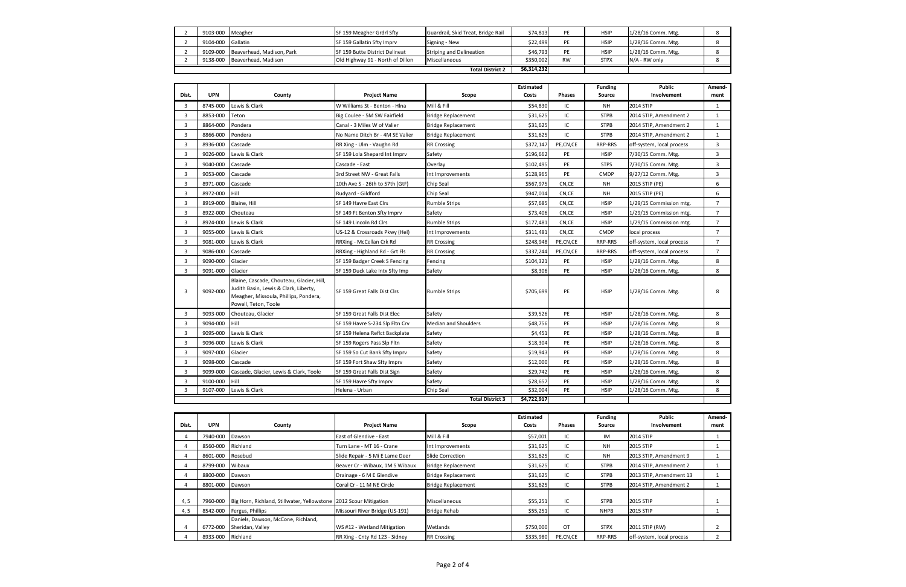|                         | 9103-000 Meagher  |                                    | SF 159 Meagher Grdrl Sfty             | Guardrail, Skid Treat, Bridge Rail | \$74,813  |           | HSIP        | 1/28/16 Comm. Mtg. |  |
|-------------------------|-------------------|------------------------------------|---------------------------------------|------------------------------------|-----------|-----------|-------------|--------------------|--|
|                         | 9104-000 Gallatin |                                    | SF 159 Gallatin Sfty Imprv            | Signing - New                      | \$22,499  |           | <b>HSIP</b> | 1/28/16 Comm. Mtg. |  |
|                         |                   | 9109-000 Beaverhead, Madison, Park | <b>SF 159 Butte District Delineat</b> | <b>Striping and Delineation</b>    | \$46,793  |           | <b>HSIP</b> | 1/28/16 Comm. Mtg. |  |
|                         |                   | 9138-000 Beaverhead, Madison       | Old Highway 91 - North of Dillon      | Miscellaneous                      | \$350,002 | <b>RW</b> | <b>STPX</b> | N/A - RW only      |  |
| <b>Total District 2</b> |                   |                                    |                                       | \$6,314,232                        |           |           |             |                    |  |

| Dist.          | <b>UPN</b>              | County                                                                                                                                              | <b>Project Name</b>             | Scope                       | <b>Estimated</b><br>Costs | <b>Phases</b> | <b>Funding</b><br>Source | <b>Public</b><br>Involvement | Amend-<br>ment |
|----------------|-------------------------|-----------------------------------------------------------------------------------------------------------------------------------------------------|---------------------------------|-----------------------------|---------------------------|---------------|--------------------------|------------------------------|----------------|
| 3              | 8745-000                | Lewis & Clark                                                                                                                                       | W Williams St - Benton - Hlna   | Mill & Fill                 | \$54,830                  | IC            | NΗ                       | 2014 STIP                    | 1              |
| 3              | 8853-000                | Teton                                                                                                                                               | Big Coulee - 5M SW Fairfield    | <b>Bridge Replacement</b>   | \$31,625                  | IC            | <b>STPB</b>              | 2014 STIP, Amendment 2       | 1              |
| 3              | 8864-000                | Pondera                                                                                                                                             | Canal - 3 Miles W of Valier     | <b>Bridge Replacement</b>   | \$31,625                  | IC            | <b>STPB</b>              | 2014 STIP, Amendment 2       | $\mathbf{1}$   |
| 3              | 8866-000                | Pondera                                                                                                                                             | No Name Ditch Br - 4M SE Valier | <b>Bridge Replacement</b>   | \$31,625                  | IC            | <b>STPB</b>              | 2014 STIP, Amendment 2       | $\mathbf{1}$   |
| 3              | 8936-000                | Cascade                                                                                                                                             | RR Xing - Ulm - Vaughn Rd       | <b>RR Crossing</b>          | \$372,147                 | PE,CN,CE      | RRP-RRS                  | off-system, local process    | 3              |
| 3              | 9026-000                | Lewis & Clark                                                                                                                                       | SF 159 Lola Shepard Int Imprv   | Safety                      | \$196,662                 | PE            | <b>HSIP</b>              | 7/30/15 Comm. Mtg.           | 3              |
| $\overline{3}$ | 9040-000                | Cascade                                                                                                                                             | Cascade - East                  | Overlay                     | \$102,495                 | PE            | <b>STPS</b>              | 7/30/15 Comm. Mtg.           | $\overline{3}$ |
| $\overline{3}$ | 9053-000                | Cascade                                                                                                                                             | 3rd Street NW - Great Falls     | Int Improvements            | \$128,965                 | PE            | <b>CMDP</b>              | 9/27/12 Comm. Mtg.           | 3              |
| $\overline{3}$ | 8971-000                | Cascade                                                                                                                                             | 10th Ave S - 26th to 57th (GtF) | <b>Chip Seal</b>            | \$567,975                 | CN,CE         | <b>NH</b>                | 2015 STIP (PE)               | 6              |
| 3              | 8972-000                | Hill                                                                                                                                                | Rudyard - Gildford              | <b>Chip Seal</b>            | \$947,014                 | CN,CE         | NH                       | 2015 STIP (PE)               | 6              |
| 3              | 8919-000                | Blaine, Hill                                                                                                                                        | SF 149 Havre East Clrs          | <b>Rumble Strips</b>        | \$57,685                  | CN,CE         | <b>HSIP</b>              | 1/29/15 Commission mtg.      | $\overline{7}$ |
| 3              | 8922-000                | Chouteau                                                                                                                                            | SF 149 Ft Benton Sfty Imprv     | Safety                      | \$73,406                  | CN,CE         | <b>HSIP</b>              | 1/29/15 Commission mtg.      | $\overline{7}$ |
| $\overline{3}$ | 8924-000                | Lewis & Clark                                                                                                                                       | SF 149 Lincoln Rd Clrs          | <b>Rumble Strips</b>        | \$177,481                 | CN.CE         | <b>HSIP</b>              | 1/29/15 Commission mtg.      | $\overline{7}$ |
| 3              | 9055-000                | Lewis & Clark                                                                                                                                       | US-12 & Crossroads Pkwy (Hel)   | Int Improvements            | \$311,481                 | CN,CE         | <b>CMDP</b>              | local process                | $\overline{7}$ |
| 3              | 9081-000                | Lewis & Clark                                                                                                                                       | RRXing - McCellan Crk Rd        | <b>RR Crossing</b>          | \$248,948                 | PE,CN,CE      | RRP-RRS                  | off-system, local process    | $\overline{7}$ |
| $\overline{3}$ | 9086-000                | Cascade                                                                                                                                             | RRXing - Highland Rd - Grt Fls  | <b>RR Crossing</b>          | \$337,244                 | PE,CN,CE      | RRP-RRS                  | off-system, local process    | $\overline{7}$ |
| $\overline{3}$ | 9090-000                | Glacier                                                                                                                                             | SF 159 Badger Creek S Fencing   | Fencing                     | \$104,321                 | PE            | <b>HSIP</b>              | 1/28/16 Comm. Mtg.           | 8              |
| $\overline{3}$ | 9091-000                | Glacier                                                                                                                                             | SF 159 Duck Lake Intx Sfty Imp  | Safety                      | \$8,306                   | PE            | <b>HSIP</b>              | 1/28/16 Comm. Mtg.           | 8              |
| 3              | 9092-000                | Blaine, Cascade, Chouteau, Glacier, Hill,<br>Judith Basin, Lewis & Clark, Liberty,<br>Meagher, Missoula, Phillips, Pondera,<br>Powell, Teton, Toole | SF 159 Great Falls Dist Clrs    | <b>Rumble Strips</b>        | \$705,699                 | PE            | <b>HSIP</b>              | 1/28/16 Comm. Mtg.           | 8              |
| 3              | 9093-000                | Chouteau, Glacier                                                                                                                                   | SF 159 Great Falls Dist Elec    | Safety                      | \$39,526                  | PE            | <b>HSIP</b>              | 1/28/16 Comm. Mtg.           | 8              |
| 3              | 9094-000                | Hill                                                                                                                                                | SF 159 Havre S-234 Slp Fltn Crv | <b>Median and Shoulders</b> | \$48,756                  | PE            | <b>HSIP</b>              | 1/28/16 Comm. Mtg.           | 8              |
| $\overline{3}$ | 9095-000                | Lewis & Clark                                                                                                                                       | SF 159 Helena Reflct Backplate  | Safety                      | \$4,451                   | PE            | <b>HSIP</b>              | 1/28/16 Comm. Mtg.           | 8              |
| $\overline{3}$ | 9096-000                | Lewis & Clark                                                                                                                                       | SF 159 Rogers Pass Slp Fltn     | Safety                      | \$18,304                  | PE            | <b>HSIP</b>              | 1/28/16 Comm. Mtg.           | 8              |
| 3              | 9097-000                | Glacier                                                                                                                                             | SF 159 So Cut Bank Sfty Imprv   | Safety                      | \$19,943                  | PE            | <b>HSIP</b>              | 1/28/16 Comm. Mtg.           | 8              |
| 3              | 9098-000                | Cascade                                                                                                                                             | SF 159 Fort Shaw Sfty Imprv     | Safety                      | \$12,000                  | PE            | <b>HSIP</b>              | 1/28/16 Comm. Mtg.           | 8              |
| 3              | 9099-000                | Cascade, Glacier, Lewis & Clark, Toole                                                                                                              | SF 159 Great Falls Dist Sign    | Safety                      | \$29,742                  | PE            | <b>HSIP</b>              | 1/28/16 Comm. Mtg.           | 8              |
| $\overline{3}$ | 9100-000                | Hill                                                                                                                                                | SF 159 Havre Sfty Imprv         | Safety                      | \$28,657                  | PE            | <b>HSIP</b>              | 1/28/16 Comm. Mtg.           | 8              |
| 3              | 9107-000                | Lewis & Clark                                                                                                                                       | Helena - Urban                  | <b>Chip Seal</b>            | \$32,004                  | PE            | HSIP                     | 1/28/16 Comm. Mtg.           | 8              |
|                | <b>Total District 3</b> |                                                                                                                                                     |                                 |                             |                           |               |                          |                              |                |

| Dist.          | <b>UPN</b> | County                                                            | <b>Project Name</b>             | Scope                     | <b>Estimated</b><br>Costs | <b>Phases</b> | <b>Funding</b><br>Source | <b>Public</b><br>Involvement | Amend-<br>ment |
|----------------|------------|-------------------------------------------------------------------|---------------------------------|---------------------------|---------------------------|---------------|--------------------------|------------------------------|----------------|
| 4              | 7940-000   | Dawson                                                            | East of Glendive - East         | Mill & Fill               | \$57,001                  | IC            | IM                       | 2014 STIP                    |                |
|                | 8560-000   | Richland                                                          | Turn Lane - MT 16 - Crane       | Int Improvements          | \$31,625                  | IC            | <b>NH</b>                | <b>2015 STIP</b>             |                |
|                | 8601-000   | Rosebud                                                           | Slide Repair - 5 Mi E Lame Deer | <b>Slide Correction</b>   | \$31,625                  | IC            | <b>NH</b>                | 2013 STIP, Amendment 9       |                |
|                | 8799-000   | Wibaux                                                            | Beaver Cr - Wibaux, 1M S Wibaux | <b>Bridge Replacement</b> | \$31,625                  | IC            | <b>STPB</b>              | 2014 STIP, Amendment 2       |                |
|                | 8800-000   | Dawson                                                            | Drainage - 6 M E Glendive       | <b>Bridge Replacement</b> | \$31,625                  | IC            | <b>STPB</b>              | 2013 STIP, Amendment 13      |                |
|                | 8801-000   | Dawson                                                            | Coral Cr - 11 M NE Circle       | <b>Bridge Replacement</b> | \$31,625                  | IC            | <b>STPB</b>              | 2014 STIP, Amendment 2       |                |
| 4, 5           | 7960-000   | Big Horn, Richland, Stillwater, Yellowstone 2012 Scour Mitigation |                                 | Miscellaneous             | \$55,251                  | IC            | <b>STPB</b>              | 2015 STIP                    |                |
| 4, 5           | 8542-000   | Fergus, Phillips                                                  | Missouri River Bridge (US-191)  | <b>Bridge Rehab</b>       | \$55,251                  | IC            | <b>NHPB</b>              | 2015 STIP                    |                |
| $\overline{4}$ | 6772-000   | Daniels, Dawson, McCone, Richland,<br>Sheridan, Valley            | WS #12 - Wetland Mitigation     | Wetlands                  | \$750,000                 | OT            | <b>STPX</b>              | 2011 STIP (RW)               |                |
|                | 8933-000   | Richland                                                          | RR Xing - Cnty Rd 123 - Sidney  | <b>RR Crossing</b>        | \$335,980                 | PE,CN,CE      | RRP-RRS                  | off-system, local process    |                |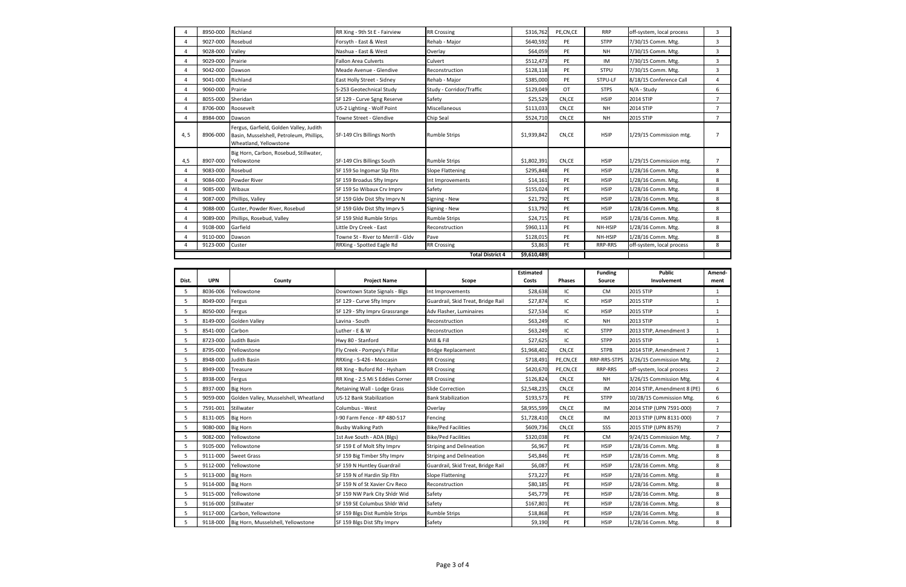| $\overline{a}$ | 8950-000   | Richland                                                                                                      | RR Xing - 9th St E - Fairview      | <b>RR Crossing</b>                 | \$316,762        | PE,CN,CE      | <b>RRP</b>     | off-system, local process   | 3              |
|----------------|------------|---------------------------------------------------------------------------------------------------------------|------------------------------------|------------------------------------|------------------|---------------|----------------|-----------------------------|----------------|
| 4              | 9027-000   | Rosebud                                                                                                       | Forsyth - East & West              | Rehab - Major                      | \$640,592        | PE            | <b>STPP</b>    | 7/30/15 Comm. Mtg.          | 3              |
| 4              | 9028-000   | Valley                                                                                                        | Nashua - East & West               | Overlay                            | \$64,059         | PE            | NH             | 7/30/15 Comm. Mtg.          | 3              |
| 4              | 9029-000   | Prairie                                                                                                       | Fallon Area Culverts               | Culvert                            | \$512,473        | PE            | IM             | 7/30/15 Comm. Mtg.          | 3              |
| 4              | 9042-000   | Dawson                                                                                                        | Meade Avenue - Glendive            | Reconstruction                     | \$128,118        | PE            | <b>STPU</b>    | 7/30/15 Comm. Mtg.          | 3              |
| 4              | 9041-000   | Richland                                                                                                      | East Holly Street - Sidney         | Rehab - Major                      | \$385,000        | PE            | STPU-LF        | 8/18/15 Conference Call     | 4              |
| 4              | 9060-000   | Prairie                                                                                                       | S-253 Geotechnical Study           | Study - Corridor/Traffic           | \$129,049        | OT            | <b>STPS</b>    | N/A - Study                 | 6              |
| 4              | 8055-000   | Sheridan                                                                                                      | SF 129 - Curve Sgng Reserve        | Safety                             | \$25,529         | CN,CE         | <b>HSIP</b>    | 2014 STIP                   | $\overline{7}$ |
| $\overline{4}$ | 8706-000   | Roosevelt                                                                                                     | US-2 Lighting - Wolf Point         | Miscellaneous                      | \$113,033        | CN,CE         | NH             | 2014 STIP                   | $\overline{7}$ |
| $\overline{4}$ | 8984-000   | Dawson                                                                                                        | Towne Street - Glendive            | Chip Seal                          | \$524,710        | CN,CE         | NH             | 2015 STIP                   | $\overline{7}$ |
| 4, 5           | 8906-000   | Fergus, Garfield, Golden Valley, Judith<br>Basin, Musselshell, Petroleum, Phillips,<br>Wheatland, Yellowstone | SF-149 Clrs Billings North         | <b>Rumble Strips</b>               | \$1,939,842      | CN,CE         | <b>HSIP</b>    | 1/29/15 Commission mtg.     | 7              |
| 4,5            | 8907-000   | Big Horn, Carbon, Rosebud, Stillwater,<br>Yellowstone                                                         | SF-149 Clrs Billings South         | <b>Rumble Strips</b>               | \$1,802,391      | CN,CE         | <b>HSIP</b>    | 1/29/15 Commission mtg.     | 7              |
| $\overline{4}$ | 9083-000   | Rosebud                                                                                                       | SF 159 So Ingomar Slp Fltn         | <b>Slope Flattening</b>            | \$295,848        | PE            | <b>HSIP</b>    | 1/28/16 Comm. Mtg.          | 8              |
| 4              | 9084-000   | Powder River                                                                                                  | SF 159 Broadus Sfty Imprv          | Int Improvements                   | \$14,161         | PE            | <b>HSIP</b>    | 1/28/16 Comm. Mtg.          | 8              |
| $\overline{4}$ | 9085-000   | Wibaux                                                                                                        | SF 159 So Wibaux Crv Imprv         | Safety                             | \$155,024        | PE            | <b>HSIP</b>    | 1/28/16 Comm. Mtg.          | 8              |
| 4              | 9087-000   | Phillips, Valley                                                                                              | SF 159 Gldv Dist Sfty Imprv N      | Signing - New                      | \$21,792         | PE            | <b>HSIP</b>    | 1/28/16 Comm. Mtg.          | 8              |
| $\overline{4}$ | 9088-000   | Custer, Powder River, Rosebud                                                                                 | SF 159 Gldv Dist Sfty Imprv S      | Signing - New                      | \$13,792         | PE            | <b>HSIP</b>    | 1/28/16 Comm. Mtg.          | 8              |
| 4              | 9089-000   | Phillips, Rosebud, Valley                                                                                     | SF 159 Shld Rumble Strips          | <b>Rumble Strips</b>               | \$24,715         | PE            | <b>HSIP</b>    | 1/28/16 Comm. Mtg.          | 8              |
| 4              | 9108-000   | Garfield                                                                                                      | Little Dry Creek - East            | Reconstruction                     | \$960,113        | PE            | NH-HSIP        | 1/28/16 Comm. Mtg.          | 8              |
| 4              | 9110-000   | Dawson                                                                                                        | Towne St - River to Merrill - Gldv | Pave                               | \$128,015        | PE            | NH-HSIP        | 1/28/16 Comm. Mtg.          | 8              |
| 4              | 9123-000   | Custer                                                                                                        | RRXing - Spotted Eagle Rd          | <b>RR Crossing</b>                 | \$3,863          | PE            | RRP-RRS        | off-system, local process   | 8              |
|                |            |                                                                                                               |                                    | <b>Total District 4</b>            | \$9,610,489      |               |                |                             |                |
|                |            |                                                                                                               |                                    |                                    |                  |               |                |                             |                |
|                |            |                                                                                                               |                                    |                                    | <b>Estimated</b> |               | <b>Funding</b> | <b>Public</b>               | Amend-         |
|                |            |                                                                                                               |                                    |                                    |                  |               |                |                             |                |
| Dist.          | <b>UPN</b> | County                                                                                                        | <b>Project Name</b>                | Scope                              | Costs            | <b>Phases</b> | Source         | Involvement                 | ment           |
| 5              | 8036-006   | Yellowstone                                                                                                   | Downtown State Signals - Blgs      | Int Improvements                   | \$28,638         | IC            | CM             | 2015 STIP                   | $\mathbf{1}$   |
| 5              | 8049-000   | Fergus                                                                                                        | SF 129 - Curve Sfty Imprv          | Guardrail, Skid Treat, Bridge Rail | \$27,874         | IC            | <b>HSIP</b>    | 2015 STIP                   | $\mathbf{1}$   |
| 5              | 8050-000   | Fergus                                                                                                        | SF 129 - Sfty Imprv Grassrange     | Adv Flasher, Luminaires            | \$27,534         | IC            | <b>HSIP</b>    | 2015 STIP                   | 1              |
| 5              | 8149-000   | Golden Valley                                                                                                 | Lavina - South                     | Reconstruction                     | \$63,249         | IC            | <b>NH</b>      | 2013 STIP                   | 1              |
| 5              | 8541-000   | Carbon                                                                                                        | Luther - E & W                     | Reconstruction                     | \$63,249         | IC            | <b>STPP</b>    | 2013 STIP, Amendment 3      | 1              |
| 5              | 8723-000   | Judith Basin                                                                                                  | Hwy 80 - Stanford                  | Mill & Fill                        | \$27,625         | IC            | <b>STPP</b>    | 2015 STIP                   | 1              |
| 5              | 8795-000   | Yellowstone                                                                                                   | Fly Creek - Pompey's Pillar        | <b>Bridge Replacement</b>          | \$1,968,402      | CN,CE         | <b>STPB</b>    | 2014 STIP, Amendment 7      | $\mathbf{1}$   |
| 5              |            | 8948-000 Judith Basin                                                                                         | RRXing - S-426 - Moccasin          | <b>RR Crossing</b>                 | \$718,491        | PE,CN,CE      | RRP-RRS-STPS   | 3/26/15 Commission Mtg.     | $\overline{2}$ |
| 5              | 8949-000   | Treasure                                                                                                      | RR Xing - Buford Rd - Hysham       | <b>RR Crossing</b>                 | \$420,670        | PE,CN,CE      | RRP-RRS        | off-system, local process   | $\overline{2}$ |
| 5              | 8938-000   | Fergus                                                                                                        | RR Xing - 2.5 Mi S Eddies Corner   | <b>RR Crossing</b>                 | \$126,824        | CN,CE         | NH             | 3/26/15 Commission Mtg.     | 4              |
| 5              | 8937-000   | <b>Big Horn</b>                                                                                               | Retaining Wall - Lodge Grass       | Slide Correction                   | \$2,548,235      | CN,CE         | IM             | 2014 STIP, Amendment 8 (PE) | 6              |
| 5              | 9059-000   | Golden Valley, Musselshell, Wheatland                                                                         | US-12 Bank Stabilization           | <b>Bank Stabilization</b>          | \$193,573        | PE            | <b>STPP</b>    | 10/28/15 Commission Mtg.    | 6              |
| 5              | 7591-001   | Stillwater                                                                                                    | Columbus - West                    | Overlay                            | \$8,955,599      | CN,CE         | IM             | 2014 STIP (UPN 7591-000)    | $\overline{7}$ |
| 5              | 8131-005   | <b>Big Horn</b>                                                                                               | -90 Farm Fence - RP 480-517        | Fencing                            | \$1,728,410      | CN,CE         | IM             | 2013 STIP (UPN 8131-000)    | 7              |
| 5              | 9080-000   | <b>Big Horn</b>                                                                                               | <b>Busby Walking Path</b>          | <b>Bike/Ped Facilities</b>         | \$609,736        | CN,CE         | SSS            | 2015 STIP (UPN 8579)        | 7              |
| 5              | 9082-000   | Yellowstone                                                                                                   | 1st Ave South - ADA (Blgs)         | <b>Bike/Ped Facilities</b>         | \$320,038        | PE            | CM             | 9/24/15 Commission Mtg.     | $\overline{7}$ |
| 5              | 9105-000   | Yellowstone                                                                                                   | SF 159 E of Molt Sfty Imprv        | <b>Striping and Delineation</b>    | \$6,967          | PE            | <b>HSIP</b>    | 1/28/16 Comm. Mtg.          | 8              |
| 5              | 9111-000   | <b>Sweet Grass</b>                                                                                            | SF 159 Big Timber Sfty Imprv       | <b>Striping and Delineation</b>    | \$45,846         | PE            | <b>HSIP</b>    | 1/28/16 Comm. Mtg.          | 8              |
| 5              | 9112-000   | Yellowstone                                                                                                   | SF 159 N Huntley Guardrail         | Guardrail, Skid Treat, Bridge Rail | \$6,087          | PE            | <b>HSIP</b>    | 1/28/16 Comm. Mtg.          | 8              |
| 5              | 9113-000   | <b>Big Horn</b>                                                                                               | SF 159 N of Hardin Slp Fltn        | <b>Slope Flattening</b>            | \$73,227         | PE            | <b>HSIP</b>    | 1/28/16 Comm. Mtg.          | 8              |
| 5              | 9114-000   | <b>Big Horn</b>                                                                                               | SF 159 N of St Xavier Crv Reco     | Reconstruction                     | \$80,185         | PE            | <b>HSIP</b>    | 1/28/16 Comm. Mtg.          | 8              |
| 5              | 9115-000   | Yellowstone                                                                                                   | SF 159 NW Park City Shldr Wid      | Safety                             | \$45,779         | PE            | <b>HSIP</b>    | 1/28/16 Comm. Mtg.          | 8              |
| 5              | 9116-000   | Stillwater                                                                                                    | SF 159 SE Columbus Shldr Wid       | Safety                             | \$167,801        | PE            | <b>HSIP</b>    | 1/28/16 Comm. Mtg.          | 8              |
| 5              | 9117-000   | Carbon, Yellowstone                                                                                           | SF 159 Blgs Dist Rumble Strips     | Rumble Strips                      | \$18,868         | PE            | <b>HSIP</b>    | 1/28/16 Comm. Mtg.          | 8              |

| Dist. | <b>UPN</b> | County                                | <b>Project Name</b>              | Scope                              | <b>Estimated</b><br>Costs | <b>Phases</b> | <b>Funding</b><br>Source | <b>Public</b><br>Involvement | Ame<br>me |
|-------|------------|---------------------------------------|----------------------------------|------------------------------------|---------------------------|---------------|--------------------------|------------------------------|-----------|
| 5     | 8036-006   | Yellowstone                           | Downtown State Signals - Blgs    | Int Improvements                   | \$28,638                  | IC            | <b>CM</b>                | 2015 STIP                    |           |
| 5     | 8049-000   | Fergus                                | SF 129 - Curve Sfty Imprv        | Guardrail, Skid Treat, Bridge Rail | \$27,874                  | IC            | <b>HSIP</b>              | 2015 STIP                    |           |
| 5     | 8050-000   | Fergus                                | SF 129 - Sfty Imprv Grassrange   | Adv Flasher, Luminaires            | \$27,534                  | IC            | <b>HSIP</b>              | 2015 STIP                    |           |
| 5     | 8149-000   | <b>Golden Valley</b>                  | Lavina - South                   | Reconstruction                     | \$63,249                  | IC            | <b>NH</b>                | 2013 STIP                    |           |
| 5     | 8541-000   | Carbon                                | Luther - E & W                   | Reconstruction                     | \$63,249                  | IC            | <b>STPP</b>              | 2013 STIP, Amendment 3       |           |
| 5     | 8723-000   | Judith Basin                          | Hwy 80 - Stanford                | Mill & Fill                        | \$27,625                  | IC            | <b>STPP</b>              | 2015 STIP                    |           |
| 5     | 8795-000   | Yellowstone                           | Fly Creek - Pompey's Pillar      | <b>Bridge Replacement</b>          | \$1,968,402               | CN,CE         | <b>STPB</b>              | 2014 STIP, Amendment 7       |           |
| 5     | 8948-000   | Judith Basin                          | RRXing - S-426 - Moccasin        | <b>RR Crossing</b>                 | \$718,491                 | PE,CN,CE      | RRP-RRS-STPS             | 3/26/15 Commission Mtg.      | 2         |
| 5     | 8949-000   | Treasure                              | RR Xing - Buford Rd - Hysham     | <b>RR Crossing</b>                 | \$420,670                 | PE,CN,CE      | <b>RRP-RRS</b>           | off-system, local process    |           |
| 5     | 8938-000   | Fergus                                | RR Xing - 2.5 Mi S Eddies Corner | <b>RR Crossing</b>                 | \$126,824                 | CN,CE         | <b>NH</b>                | 3/26/15 Commission Mtg.      |           |
| 5     | 8937-000   | <b>Big Horn</b>                       | Retaining Wall - Lodge Grass     | <b>Slide Correction</b>            | \$2,548,235               | CN,CE         | IM                       | 2014 STIP, Amendment 8 (PE)  |           |
| 5     | 9059-000   | Golden Valley, Musselshell, Wheatland | <b>US-12 Bank Stabilization</b>  | <b>Bank Stabilization</b>          | \$193,573                 | PE            | <b>STPP</b>              | 10/28/15 Commission Mtg.     |           |
| 5     | 7591-001   | Stillwater                            | Columbus - West                  | Overlay                            | \$8,955,599               | CN,CE         | IM                       | 2014 STIP (UPN 7591-000)     |           |
| 5     | 8131-005   | <b>Big Horn</b>                       | I-90 Farm Fence - RP 480-517     | Fencing                            | \$1,728,410               | CN,CE         | IM                       | 2013 STIP (UPN 8131-000)     |           |
| 5     | 9080-000   | <b>Big Horn</b>                       | <b>Busby Walking Path</b>        | <b>Bike/Ped Facilities</b>         | \$609,736                 | CN,CE         | SSS                      | 2015 STIP (UPN 8579)         | 7         |
| 5     | 9082-000   | Yellowstone                           | 1st Ave South - ADA (Blgs)       | <b>Bike/Ped Facilities</b>         | \$320,038                 | PE            | <b>CM</b>                | 9/24/15 Commission Mtg.      |           |
| 5     | 9105-000   | Yellowstone                           | SF 159 E of Molt Sfty Imprv      | <b>Striping and Delineation</b>    | \$6,967                   | PE            | <b>HSIP</b>              | 1/28/16 Comm. Mtg.           |           |
| 5     | 9111-000   | <b>Sweet Grass</b>                    | SF 159 Big Timber Sfty Imprv     | <b>Striping and Delineation</b>    | \$45,846                  | PE            | <b>HSIP</b>              | 1/28/16 Comm. Mtg.           |           |
| 5     | 9112-000   | Yellowstone                           | SF 159 N Huntley Guardrail       | Guardrail, Skid Treat, Bridge Rail | \$6,087                   | PE            | <b>HSIP</b>              | 1/28/16 Comm. Mtg.           |           |
| 5     | 9113-000   | <b>Big Horn</b>                       | SF 159 N of Hardin Slp Fltn      | <b>Slope Flattening</b>            | \$73,227                  | PE            | <b>HSIP</b>              | 1/28/16 Comm. Mtg.           |           |
| 5     | 9114-000   | <b>Big Horn</b>                       | SF 159 N of St Xavier Crv Reco   | Reconstruction                     | \$80,185                  | PE            | <b>HSIP</b>              | 1/28/16 Comm. Mtg.           |           |
| 5     | 9115-000   | Yellowstone                           | SF 159 NW Park City Shldr Wid    | Safety                             | \$45,779                  | PE            | <b>HSIP</b>              | 1/28/16 Comm. Mtg.           |           |
| 5     | 9116-000   | Stillwater                            | SF 159 SE Columbus Shldr Wid     | Safety                             | \$167,801                 | PE            | <b>HSIP</b>              | 1/28/16 Comm. Mtg.           |           |
| 5     | 9117-000   | Carbon, Yellowstone                   | SF 159 Blgs Dist Rumble Strips   | <b>Rumble Strips</b>               | \$18,868                  | PE            | <b>HSIP</b>              | 1/28/16 Comm. Mtg.           |           |
| 5     | 9118-000   | Big Horn, Musselshell, Yellowstone    | SF 159 Blgs Dist Sfty Imprv      | Safety                             | \$9,190                   | PE            | <b>HSIP</b>              | 1/28/16 Comm. Mtg.           |           |